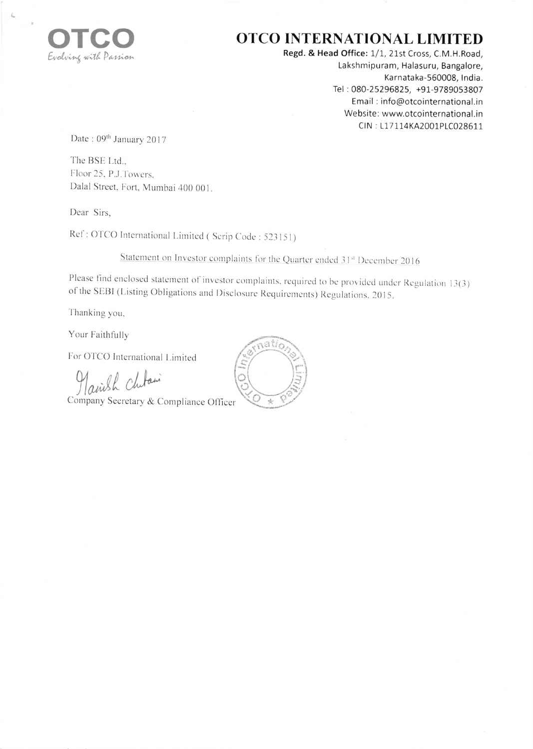

## OTCO INTERNATIONAL LIMITED

Regd. & Head Office: 1/1, 21st Cross, C.M.H.Road, Lakshmipuram, Halasuru, Bangalore, Karnataka-560008, India. Tel: 080-25296825, +91-9789053807 Email: info@otcointernational.in Website: www.otcointernational.in CIN: L17114KA2001PLC028611

Date: 09th January 2017

The BSE Ltd., Floor 25, P.J.Towers. Dalal Street, Fort, Mumbai 400 001.

Dear Sirs.

Ref: OTCO International Limited (Scrip Code: 523151)

Statement on Investor complaints for the Quarter ended 31st December 2016

Please find enclosed statement of investor complaints, required to be provided under Regulation 13(3) of the SEBI (Listing Obligations and Disclosure Requirements) Regulations, 2015.

Thanking you,

Your Faithfully

For OTCO International Limited

airish Chitain

Company Secretary & Compliance Officer

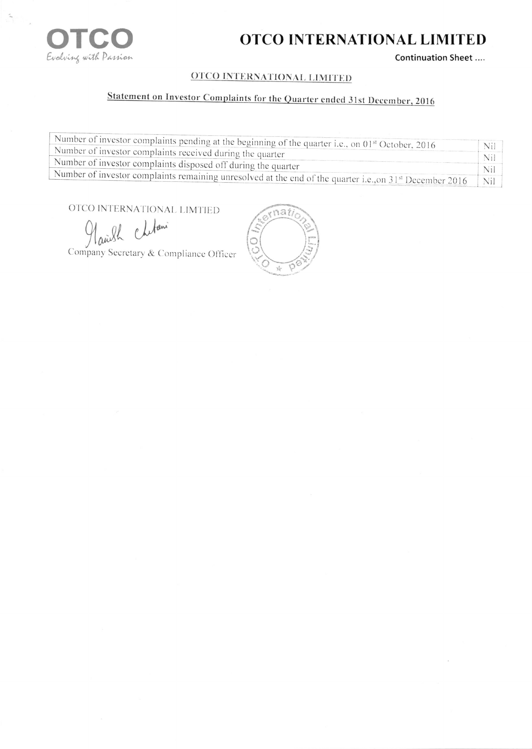

## OTCO INTERNATIONAL LIMITED

Continuation Sheet ....

### **OTCO INTERNATIONAL LIMITED**

# Statement on Investor Complaints for the Quarter ended 31st December, 2016

| Number of investor complaints pending at the beginning of the quarter i.e., on 01 <sup>st</sup> October, 2016              |     |
|----------------------------------------------------------------------------------------------------------------------------|-----|
|                                                                                                                            | Nil |
| Number of investor complaints received during the quarter                                                                  |     |
| Number of investor complaints disposed off during the quarter                                                              |     |
| Number of investor complaints remaining unresolved at the end of the quarter i.e., on 31 <sup>st</sup> December 2016   Nil |     |
|                                                                                                                            |     |

OTCO INTERNATIONAL LIMTIED

Chilani andh

Company Secretary & Compliance Officer